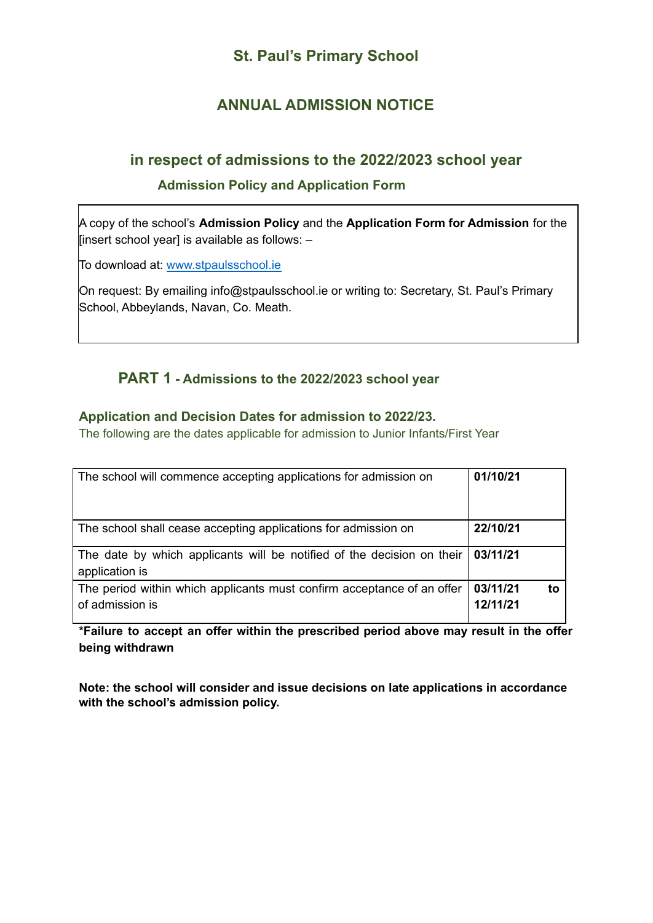# **St. Paul's Primary School**

# **ANNUAL ADMISSION NOTICE**

## **in respect of admissions to the 2022/2023 school year**

### **Admission Policy and Application Form**

A copy of the school's **Admission Policy** and the **Application Form for Admission** for the [insert school year] is available as follows: –

To download at: www.stpaulsschool.ie

On request: By emailing info@stpaulsschool.ie or writing to: Secretary, St. Paul's Primary School, Abbeylands, Navan, Co. Meath.

## **PART 1 - Admissions to the 2022/2023 school year**

### **Application and Decision Dates for admission to 2022/23.**

The following are the dates applicable for admission to Junior Infants/First Year

| The school will commence accepting applications for admission on                                           | 01/10/21                   |
|------------------------------------------------------------------------------------------------------------|----------------------------|
| The school shall cease accepting applications for admission on                                             | 22/10/21                   |
| The date by which applicants will be notified of the decision on their $\frac{03}{1121}$<br>application is |                            |
| The period within which applicants must confirm acceptance of an offer<br>of admission is                  | 03/11/21<br>to<br>12/11/21 |

**\*Failure to accept an offer within the prescribed period above may result in the offer being withdrawn**

**Note: the school will consider and issue decisions on late applications in accordance with the school's admission policy.**